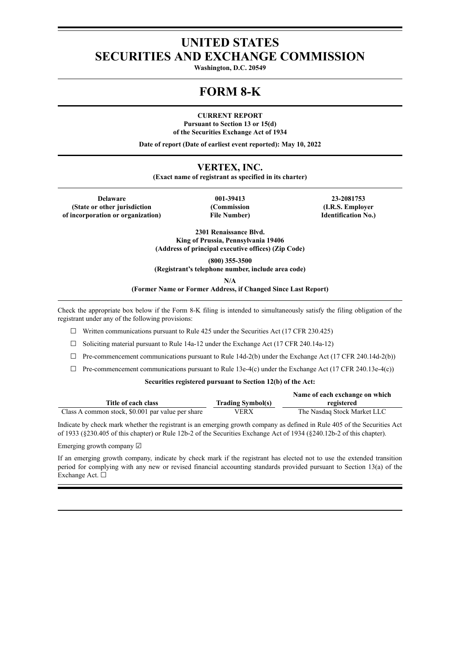# **UNITED STATES SECURITIES AND EXCHANGE COMMISSION**

**Washington, D.C. 20549**

# **FORM 8-K**

**CURRENT REPORT**

**Pursuant to Section 13 or 15(d) of the Securities Exchange Act of 1934**

**Date of report (Date of earliest event reported): May 10, 2022**

# **VERTEX, INC.**

**(Exact name of registrant as specified in its charter)**

**Delaware 001-39413 23-2081753 (State or other jurisdiction of incorporation or organization)**

**(Commission File Number)**

**(I.R.S. Employer Identification No.)**

**2301 Renaissance Blvd. King of Prussia, Pennsylvania 19406 (Address of principal executive offices) (Zip Code)**

**(800) 355-3500**

**(Registrant's telephone number, include area code)**

**N/A**

**(Former Name or Former Address, if Changed Since Last Report)**

Check the appropriate box below if the Form 8-K filing is intended to simultaneously satisfy the filing obligation of the registrant under any of the following provisions:

 $\Box$  Written communications pursuant to Rule 425 under the Securities Act (17 CFR 230.425)

 $\Box$  Soliciting material pursuant to Rule 14a-12 under the Exchange Act (17 CFR 240.14a-12)

 $\Box$  Pre-commencement communications pursuant to Rule 14d-2(b) under the Exchange Act (17 CFR 240.14d-2(b))

 $\Box$  Pre-commencement communications pursuant to Rule 13e-4(c) under the Exchange Act (17 CFR 240.13e-4(c))

## **Securities registered pursuant to Section 12(b) of the Act:**

|                                                   |                          | Name of each exchange on which |
|---------------------------------------------------|--------------------------|--------------------------------|
| Title of each class                               | <b>Trading Symbol(s)</b> | registered                     |
| Class A common stock, \$0.001 par value per share | VERX                     | The Nasdaq Stock Market LLC    |

Indicate by check mark whether the registrant is an emerging growth company as defined in Rule 405 of the Securities Act of 1933 (§230.405 of this chapter) or Rule 12b-2 of the Securities Exchange Act of 1934 (§240.12b-2 of this chapter).

Emerging growth company ☑

If an emerging growth company, indicate by check mark if the registrant has elected not to use the extended transition period for complying with any new or revised financial accounting standards provided pursuant to Section 13(a) of the Exchange Act. ☐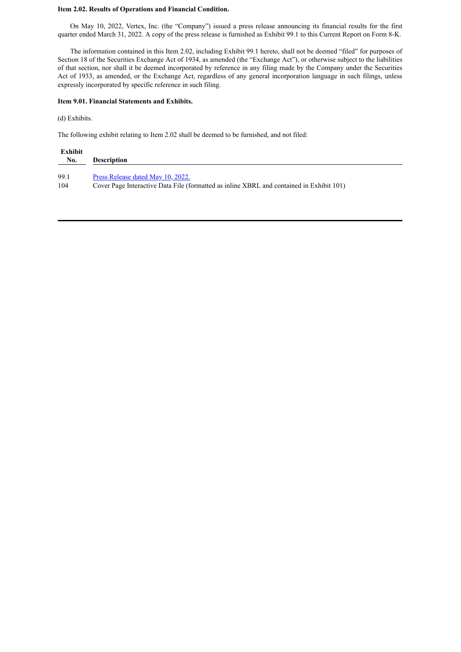## **Item 2.02. Results of Operations and Financial Condition.**

On May 10, 2022, Vertex, Inc. (the "Company") issued a press release announcing its financial results for the first quarter ended March 31, 2022. A copy of the press release is furnished as Exhibit 99.1 to this Current Report on Form 8-K.

The information contained in this Item 2.02, including Exhibit 99.1 hereto, shall not be deemed "filed" for purposes of Section 18 of the Securities Exchange Act of 1934, as amended (the "Exchange Act"), or otherwise subject to the liabilities of that section, nor shall it be deemed incorporated by reference in any filing made by the Company under the Securities Act of 1933, as amended, or the Exchange Act, regardless of any general incorporation language in such filings, unless expressly incorporated by specific reference in such filing.

#### **Item 9.01. Financial Statements and Exhibits.**

(d) Exhibits.

The following exhibit relating to Item 2.02 shall be deemed to be furnished, and not filed:

| Exhibit<br>No. | <b>Description</b>                                                                       |
|----------------|------------------------------------------------------------------------------------------|
| 99.1           | Press Release dated May 10, 2022.                                                        |
| 104            | Cover Page Interactive Data File (formatted as inline XBRL and contained in Exhibit 101) |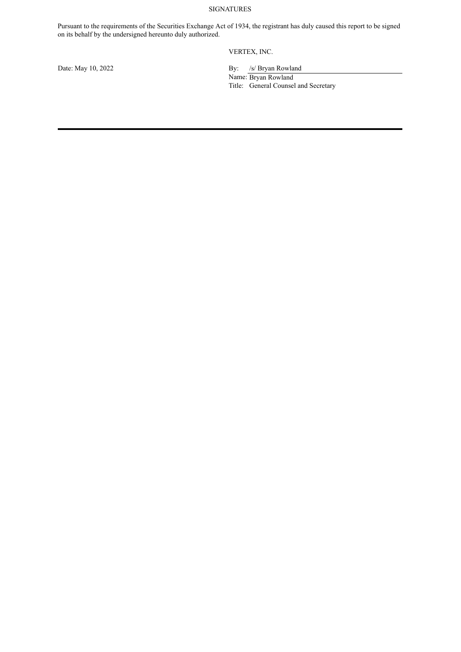# SIGNATURES

Pursuant to the requirements of the Securities Exchange Act of 1934, the registrant has duly caused this report to be signed on its behalf by the undersigned hereunto duly authorized.

VERTEX, INC.

Date: May 10, 2022 By: /s/ Bryan Rowland Name: Bryan Rowland Title: General Counsel and Secretary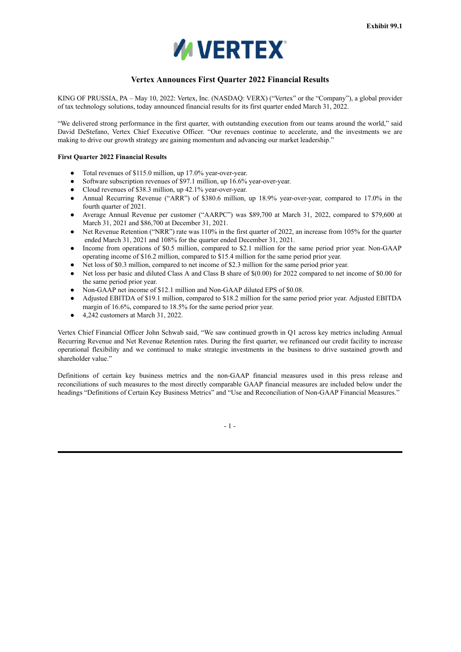

# **Vertex Announces First Quarter 2022 Financial Results**

<span id="page-3-0"></span>KING OF PRUSSIA, PA – May 10, 2022: Vertex, Inc. (NASDAQ: VERX) ("Vertex" or the "Company"), a global provider of tax technology solutions, today announced financial results for its first quarter ended March 31, 2022.

"We delivered strong performance in the first quarter, with outstanding execution from our teams around the world," said David DeStefano, Vertex Chief Executive Officer. "Our revenues continue to accelerate, and the investments we are making to drive our growth strategy are gaining momentum and advancing our market leadership."

### **First Quarter 2022 Financial Results**

- Total revenues of \$115.0 million, up 17.0% year-over-year.
- Software subscription revenues of \$97.1 million, up 16.6% year-over-year.
- Cloud revenues of \$38.3 million, up 42.1% year-over-year.
- Annual Recurring Revenue ("ARR") of \$380.6 million, up 18.9% year-over-year, compared to 17.0% in the fourth quarter of 2021.
- Average Annual Revenue per customer ("AARPC") was \$89,700 at March 31, 2022, compared to \$79,600 at March 31, 2021 and \$86,700 at December 31, 2021.
- Net Revenue Retention ("NRR") rate was 110% in the first quarter of 2022, an increase from 105% for the quarter ended March 31, 2021 and 108% for the quarter ended December 31, 2021.
- Income from operations of \$0.5 million, compared to \$2.1 million for the same period prior year. Non-GAAP operating income of \$16.2 million, compared to \$15.4 million for the same period prior year.
- Net loss of \$0.3 million, compared to net income of \$2.3 million for the same period prior year.
- Net loss per basic and diluted Class A and Class B share of  $$(0.00)$  for 2022 compared to net income of  $$(0.00)$  for the same period prior year.
- Non-GAAP net income of \$12.1 million and Non-GAAP diluted EPS of \$0.08.
- Adjusted EBITDA of \$19.1 million, compared to \$18.2 million for the same period prior year. Adjusted EBITDA margin of 16.6%, compared to 18.5% for the same period prior year.
- $\bullet$  4,242 customers at March 31, 2022.

Vertex Chief Financial Officer John Schwab said, "We saw continued growth in Q1 across key metrics including Annual Recurring Revenue and Net Revenue Retention rates. During the first quarter, we refinanced our credit facility to increase operational flexibility and we continued to make strategic investments in the business to drive sustained growth and shareholder value."

Definitions of certain key business metrics and the non-GAAP financial measures used in this press release and reconciliations of such measures to the most directly comparable GAAP financial measures are included below under the headings "Definitions of Certain Key Business Metrics" and "Use and Reconciliation of Non-GAAP Financial Measures."

- 1 -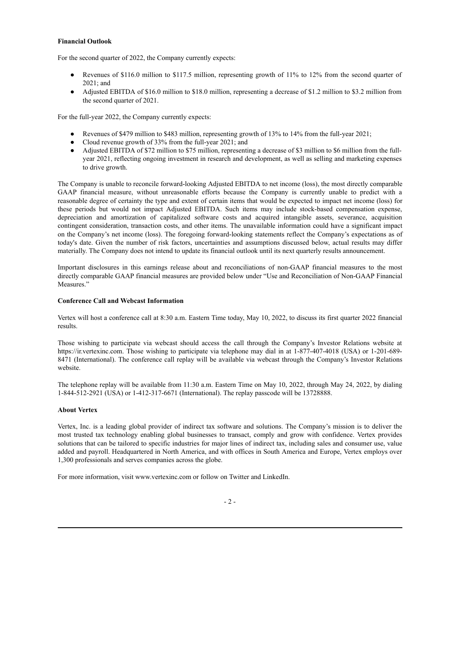#### **Financial Outlook**

For the second quarter of 2022, the Company currently expects:

- Revenues of \$116.0 million to \$117.5 million, representing growth of 11% to 12% from the second quarter of 2021; and
- Adjusted EBITDA of \$16.0 million to \$18.0 million, representing a decrease of \$1.2 million to \$3.2 million from the second quarter of 2021.

For the full-year 2022, the Company currently expects:

- Revenues of \$479 million to \$483 million, representing growth of 13% to 14% from the full-year 2021;
- Cloud revenue growth of 33% from the full-year 2021; and
- Adjusted EBITDA of \$72 million to \$75 million, representing a decrease of \$3 million to \$6 million from the fullyear 2021, reflecting ongoing investment in research and development, as well as selling and marketing expenses to drive growth.

The Company is unable to reconcile forward-looking Adjusted EBITDA to net income (loss), the most directly comparable GAAP financial measure, without unreasonable efforts because the Company is currently unable to predict with a reasonable degree of certainty the type and extent of certain items that would be expected to impact net income (loss) for these periods but would not impact Adjusted EBITDA. Such items may include stock-based compensation expense, depreciation and amortization of capitalized software costs and acquired intangible assets, severance, acquisition contingent consideration, transaction costs, and other items. The unavailable information could have a significant impact on the Company's net income (loss). The foregoing forward-looking statements reflect the Company's expectations as of today's date. Given the number of risk factors, uncertainties and assumptions discussed below, actual results may differ materially. The Company does not intend to update its financial outlook until its next quarterly results announcement.

Important disclosures in this earnings release about and reconciliations of non-GAAP financial measures to the most directly comparable GAAP financial measures are provided below under "Use and Reconciliation of Non-GAAP Financial Measures."

## **Conference Call and Webcast Information**

Vertex will host a conference call at 8:30 a.m. Eastern Time today, May 10, 2022, to discuss its first quarter 2022 financial results.

Those wishing to participate via webcast should access the call through the Company's Investor Relations website at https://ir.vertexinc.com. Those wishing to participate via telephone may dial in at 1-877-407-4018 (USA) or 1-201-689- 8471 (International). The conference call replay will be available via webcast through the Company's Investor Relations website.

The telephone replay will be available from 11:30 a.m. Eastern Time on May 10, 2022, through May 24, 2022, by dialing 1-844-512-2921 (USA) or 1-412-317-6671 (International). The replay passcode will be 13728888.

## **About Vertex**

Vertex, Inc. is a leading global provider of indirect tax software and solutions. The Company's mission is to deliver the most trusted tax technology enabling global businesses to transact, comply and grow with confidence. Vertex provides solutions that can be tailored to specific industries for major lines of indirect tax, including sales and consumer use, value added and payroll. Headquartered in North America, and with offices in South America and Europe, Vertex employs over 1,300 professionals and serves companies across the globe.

For more information, visit www.vertexinc.com or follow on Twitter and LinkedIn.

## $-2-$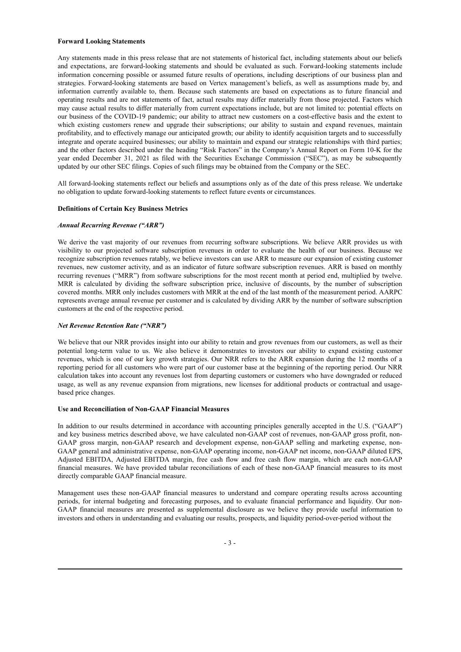#### **Forward Looking Statements**

Any statements made in this press release that are not statements of historical fact, including statements about our beliefs and expectations, are forward-looking statements and should be evaluated as such. Forward-looking statements include information concerning possible or assumed future results of operations, including descriptions of our business plan and strategies. Forward-looking statements are based on Vertex management's beliefs, as well as assumptions made by, and information currently available to, them. Because such statements are based on expectations as to future financial and operating results and are not statements of fact, actual results may differ materially from those projected. Factors which may cause actual results to differ materially from current expectations include, but are not limited to: potential effects on our business of the COVID-19 pandemic; our ability to attract new customers on a cost-effective basis and the extent to which existing customers renew and upgrade their subscriptions; our ability to sustain and expand revenues, maintain profitability, and to effectively manage our anticipated growth; our ability to identify acquisition targets and to successfully integrate and operate acquired businesses; our ability to maintain and expand our strategic relationships with third parties; and the other factors described under the heading "Risk Factors" in the Company's Annual Report on Form 10-K for the year ended December 31, 2021 as filed with the Securities Exchange Commission ("SEC"), as may be subsequently updated by our other SEC filings. Copies of such filings may be obtained from the Company or the SEC.

All forward-looking statements reflect our beliefs and assumptions only as of the date of this press release. We undertake no obligation to update forward-looking statements to reflect future events or circumstances.

#### **Definitions of Certain Key Business Metrics**

#### *Annual Recurring Revenue ("ARR")*

We derive the vast majority of our revenues from recurring software subscriptions. We believe ARR provides us with visibility to our projected software subscription revenues in order to evaluate the health of our business. Because we recognize subscription revenues ratably, we believe investors can use ARR to measure our expansion of existing customer revenues, new customer activity, and as an indicator of future software subscription revenues. ARR is based on monthly recurring revenues ("MRR") from software subscriptions for the most recent month at period end, multiplied by twelve. MRR is calculated by dividing the software subscription price, inclusive of discounts, by the number of subscription covered months. MRR only includes customers with MRR at the end of the last month of the measurement period. AARPC represents average annual revenue per customer and is calculated by dividing ARR by the number of software subscription customers at the end of the respective period.

#### *Net Revenue Retention Rate ("NRR")*

We believe that our NRR provides insight into our ability to retain and grow revenues from our customers, as well as their potential long-term value to us. We also believe it demonstrates to investors our ability to expand existing customer revenues, which is one of our key growth strategies. Our NRR refers to the ARR expansion during the 12 months of a reporting period for all customers who were part of our customer base at the beginning of the reporting period. Our NRR calculation takes into account any revenues lost from departing customers or customers who have downgraded or reduced usage, as well as any revenue expansion from migrations, new licenses for additional products or contractual and usagebased price changes.

#### **Use and Reconciliation of Non-GAAP Financial Measures**

In addition to our results determined in accordance with accounting principles generally accepted in the U.S. ("GAAP") and key business metrics described above, we have calculated non-GAAP cost of revenues, non-GAAP gross profit, non-GAAP gross margin, non-GAAP research and development expense, non-GAAP selling and marketing expense, non-GAAP general and administrative expense, non-GAAP operating income, non-GAAP net income, non-GAAP diluted EPS, Adjusted EBITDA, Adjusted EBITDA margin, free cash flow and free cash flow margin, which are each non-GAAP financial measures. We have provided tabular reconciliations of each of these non-GAAP financial measures to its most directly comparable GAAP financial measure.

Management uses these non-GAAP financial measures to understand and compare operating results across accounting periods, for internal budgeting and forecasting purposes, and to evaluate financial performance and liquidity. Our non-GAAP financial measures are presented as supplemental disclosure as we believe they provide useful information to investors and others in understanding and evaluating our results, prospects, and liquidity period-over-period without the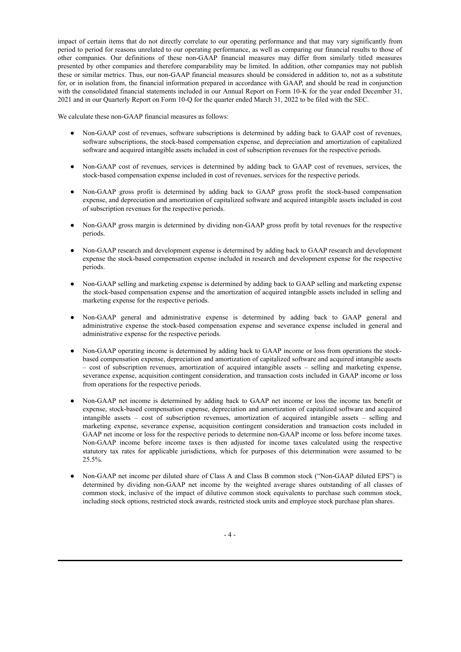impact of certain items that do not directly correlate to our operating performance and that may vary significantly from period to period for reasons unrelated to our operating performance, as well as comparing our financial results to those of other companies. Our definitions of these non-GAAP financial measures may differ from similarly titled measures presented by other companies and therefore comparability may be limited. In addition, other companies may not publish these or similar metrics. Thus, our non-GAAP financial measures should be considered in addition to, not as a substitute for, or in isolation from, the financial information prepared in accordance with GAAP, and should be read in conjunction with the consolidated financial statements included in our Annual Report on Form 10-K for the year ended December 31, 2021 and in our Quarterly Report on Form 10-Q for the quarter ended March 31, 2022 to be filed with the SEC.

We calculate these non-GAAP financial measures as follows:

- Non-GAAP cost of revenues, software subscriptions is determined by adding back to GAAP cost of revenues, software subscriptions, the stock-based compensation expense, and depreciation and amortization of capitalized software and acquired intangible assets included in cost of subscription revenues for the respective periods.
- Non-GAAP cost of revenues, services is determined by adding back to GAAP cost of revenues, services, the stock-based compensation expense included in cost of revenues, services for the respective periods.
- Non-GAAP gross profit is determined by adding back to GAAP gross profit the stock-based compensation expense, and depreciation and amortization of capitalized software and acquired intangible assets included in cost of subscription revenues for the respective periods.
- Non-GAAP gross margin is determined by dividing non-GAAP gross profit by total revenues for the respective periods.
- Non-GAAP research and development expense is determined by adding back to GAAP research and development expense the stock-based compensation expense included in research and development expense for the respective periods.
- Non-GAAP selling and marketing expense is determined by adding back to GAAP selling and marketing expense the stock-based compensation expense and the amortization of acquired intangible assets included in selling and marketing expense for the respective periods.
- Non-GAAP general and administrative expense is determined by adding back to GAAP general and administrative expense the stock-based compensation expense and severance expense included in general and administrative expense for the respective periods.
- Non-GAAP operating income is determined by adding back to GAAP income or loss from operations the stockbased compensation expense, depreciation and amortization of capitalized software and acquired intangible assets – cost of subscription revenues, amortization of acquired intangible assets – selling and marketing expense, severance expense, acquisition contingent consideration, and transaction costs included in GAAP income or loss from operations for the respective periods.
- Non-GAAP net income is determined by adding back to GAAP net income or loss the income tax benefit or expense, stock-based compensation expense, depreciation and amortization of capitalized software and acquired intangible assets – cost of subscription revenues, amortization of acquired intangible assets – selling and marketing expense, severance expense, acquisition contingent consideration and transaction costs included in GAAP net income or loss for the respective periods to determine non-GAAP income or loss before income taxes. Non-GAAP income before income taxes is then adjusted for income taxes calculated using the respective statutory tax rates for applicable jurisdictions, which for purposes of this determination were assumed to be 25.5%.
- Non-GAAP net income per diluted share of Class A and Class B common stock ("Non-GAAP diluted EPS") is determined by dividing non-GAAP net income by the weighted average shares outstanding of all classes of common stock, inclusive of the impact of dilutive common stock equivalents to purchase such common stock, including stock options, restricted stock awards, restricted stock units and employee stock purchase plan shares.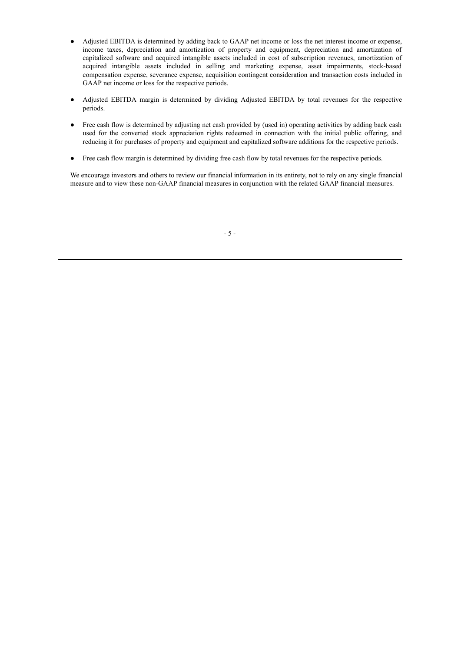- Adjusted EBITDA is determined by adding back to GAAP net income or loss the net interest income or expense, income taxes, depreciation and amortization of property and equipment, depreciation and amortization of capitalized software and acquired intangible assets included in cost of subscription revenues, amortization of acquired intangible assets included in selling and marketing expense, asset impairments, stock-based compensation expense, severance expense, acquisition contingent consideration and transaction costs included in GAAP net income or loss for the respective periods.
- Adjusted EBITDA margin is determined by dividing Adjusted EBITDA by total revenues for the respective periods.
- Free cash flow is determined by adjusting net cash provided by (used in) operating activities by adding back cash used for the converted stock appreciation rights redeemed in connection with the initial public offering, and reducing it for purchases of property and equipment and capitalized software additions for the respective periods.
- Free cash flow margin is determined by dividing free cash flow by total revenues for the respective periods.

We encourage investors and others to review our financial information in its entirety, not to rely on any single financial measure and to view these non-GAAP financial measures in conjunction with the related GAAP financial measures.

- 5 -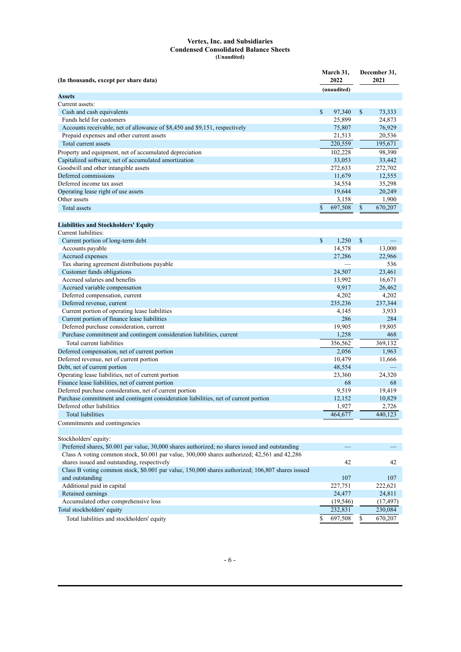#### **Vertex, Inc. and Subsidiaries Condensed Consolidated Balance Sheets (Unaudited)**

| (In thousands, except per share data)                                                            | March 31,<br>2022 |             | December 31,<br>2021 |           |  |
|--------------------------------------------------------------------------------------------------|-------------------|-------------|----------------------|-----------|--|
|                                                                                                  |                   | (unaudited) |                      |           |  |
| <b>Assets</b>                                                                                    |                   |             |                      |           |  |
| Current assets:                                                                                  |                   |             |                      |           |  |
| Cash and cash equivalents                                                                        | \$                | 97,340      | \$                   | 73,333    |  |
| Funds held for customers                                                                         |                   | 25,899      |                      | 24,873    |  |
| Accounts receivable, net of allowance of \$8,450 and \$9,151, respectively                       |                   | 75,807      |                      | 76,929    |  |
| Prepaid expenses and other current assets                                                        |                   | 21,513      |                      | 20,536    |  |
| Total current assets                                                                             |                   | 220,559     |                      | 195,671   |  |
| Property and equipment, net of accumulated depreciation                                          |                   | 102,228     |                      | 98,390    |  |
| Capitalized software, net of accumulated amortization                                            |                   | 33,053      |                      | 33,442    |  |
| Goodwill and other intangible assets                                                             |                   | 272,633     |                      | 272,702   |  |
| Deferred commissions                                                                             |                   | 11,679      |                      | 12,555    |  |
| Deferred income tax asset                                                                        |                   | 34,554      |                      | 35,298    |  |
| Operating lease right of use assets                                                              |                   | 19,644      |                      | 20,249    |  |
| Other assets                                                                                     |                   | 3,158       |                      | 1,900     |  |
| Total assets                                                                                     | \$                | 697,508     | \$                   | 670,207   |  |
|                                                                                                  |                   |             |                      |           |  |
| <b>Liabilities and Stockholders' Equity</b>                                                      |                   |             |                      |           |  |
| Current liabilities:                                                                             |                   |             |                      |           |  |
| Current portion of long-term debt                                                                | $\mathbb{S}$      | 1.250       | \$                   |           |  |
| Accounts payable                                                                                 |                   | 14,578      |                      | 13,000    |  |
| Accrued expenses                                                                                 |                   | 27,286      |                      | 22,966    |  |
| Tax sharing agreement distributions payable                                                      |                   |             |                      | 536       |  |
| Customer funds obligations                                                                       |                   | 24,507      |                      | 23,461    |  |
| Accrued salaries and benefits                                                                    |                   | 13,992      |                      | 16,671    |  |
| Accrued variable compensation                                                                    |                   | 9,917       |                      | 26,462    |  |
| Deferred compensation, current                                                                   |                   | 4,202       |                      | 4,202     |  |
| Deferred revenue, current                                                                        |                   | 235,236     |                      | 237,344   |  |
| Current portion of operating lease liabilities                                                   |                   | 4,145       |                      | 3,933     |  |
| Current portion of finance lease liabilities                                                     |                   | 286         |                      | 284       |  |
| Deferred purchase consideration, current                                                         |                   | 19,905      |                      | 19,805    |  |
| Purchase commitment and contingent consideration liabilities, current                            |                   | 1,258       |                      | 468       |  |
| Total current liabilities                                                                        |                   | 356,562     |                      | 369,132   |  |
| Deferred compensation, net of current portion                                                    |                   | 2,056       |                      | 1,963     |  |
| Deferred revenue, net of current portion                                                         |                   | 10,479      |                      | 11,666    |  |
| Debt, net of current portion                                                                     |                   | 48,554      |                      |           |  |
| Operating lease liabilities, net of current portion                                              |                   | 23,360      |                      | 24,320    |  |
| Finance lease liabilities, net of current portion                                                |                   | 68          |                      | 68        |  |
| Deferred purchase consideration, net of current portion                                          |                   | 9,519       |                      | 19,419    |  |
| Purchase commitment and contingent consideration liabilities, net of current portion             |                   | 12,152      |                      | 10,829    |  |
| Deferred other liabilities                                                                       |                   | 1,927       |                      | 2,726     |  |
| <b>Total liabilities</b>                                                                         |                   | 464,677     |                      | 440,123   |  |
| Commitments and contingencies                                                                    |                   |             |                      |           |  |
|                                                                                                  |                   |             |                      |           |  |
| Stockholders' equity:                                                                            |                   |             |                      |           |  |
| Preferred shares, \$0.001 par value, 30,000 shares authorized; no shares issued and outstanding  |                   |             |                      |           |  |
| Class A voting common stock, \$0.001 par value, 300,000 shares authorized; 42,561 and 42,286     |                   |             |                      |           |  |
| shares issued and outstanding, respectively                                                      |                   | 42          |                      | 42        |  |
| Class B voting common stock, \$0.001 par value, 150,000 shares authorized; 106,807 shares issued |                   |             |                      |           |  |
| and outstanding                                                                                  |                   | 107         |                      | 107       |  |
| Additional paid in capital                                                                       |                   | 227,751     |                      | 222,621   |  |
| Retained earnings                                                                                |                   | 24,477      |                      | 24,811    |  |
| Accumulated other comprehensive loss                                                             |                   | (19, 546)   |                      | (17, 497) |  |
| Total stockholders' equity                                                                       |                   | 232,831     |                      | 230,084   |  |
| Total liabilities and stockholders' equity                                                       | \$                | 697,508     | \$                   | 670,207   |  |
|                                                                                                  |                   |             |                      |           |  |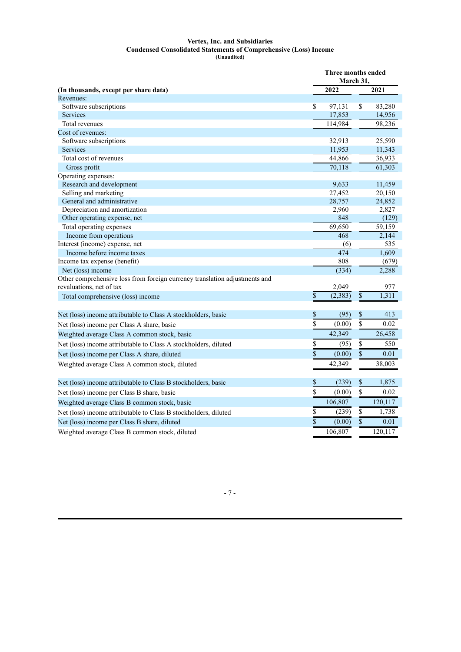#### **Vertex, Inc. and Subsidiaries Condensed Consolidated Statements of Comprehensive (Loss) Income (Unaudited)**

|                                                                            | Three months ended<br>March 31, |                  |                         |                  |  |
|----------------------------------------------------------------------------|---------------------------------|------------------|-------------------------|------------------|--|
| (In thousands, except per share data)                                      |                                 | 2022             |                         | 2021             |  |
| Revenues:                                                                  |                                 |                  |                         |                  |  |
| Software subscriptions                                                     | \$                              | 97,131           | \$                      | 83,280           |  |
| Services                                                                   |                                 | 17,853           |                         | 14,956           |  |
| Total revenues                                                             |                                 | 114,984          |                         | 98,236           |  |
| Cost of revenues:                                                          |                                 |                  |                         |                  |  |
| Software subscriptions                                                     |                                 | 32,913           |                         | 25,590           |  |
| <b>Services</b>                                                            |                                 | 11,953           |                         | 11,343           |  |
| Total cost of revenues                                                     |                                 | 44,866           |                         | 36,933           |  |
| Gross profit                                                               |                                 | 70,118           |                         | 61,303           |  |
| Operating expenses:                                                        |                                 |                  |                         |                  |  |
| Research and development                                                   |                                 | 9,633            |                         | 11,459           |  |
| Selling and marketing<br>General and administrative                        |                                 | 27,452<br>28,757 |                         | 20,150<br>24,852 |  |
| Depreciation and amortization                                              |                                 | 2,960            |                         | 2,827            |  |
| Other operating expense, net                                               |                                 | 848              |                         | (129)            |  |
| Total operating expenses                                                   |                                 | 69,650           |                         | 59,159           |  |
| Income from operations                                                     |                                 | 468              |                         | 2,144            |  |
| Interest (income) expense, net                                             |                                 | (6)              |                         | 535              |  |
| Income before income taxes                                                 |                                 | 474              |                         | 1,609            |  |
| Income tax expense (benefit)                                               |                                 | 808              |                         | (679)            |  |
| Net (loss) income                                                          |                                 | (334)            |                         | 2,288            |  |
| Other comprehensive loss from foreign currency translation adjustments and |                                 |                  |                         |                  |  |
| revaluations, net of tax                                                   |                                 | 2,049            |                         | 977              |  |
| Total comprehensive (loss) income                                          | $\overline{\$}$                 | (2, 383)         | $\overline{\$}$         | 1,311            |  |
|                                                                            |                                 |                  |                         |                  |  |
| Net (loss) income attributable to Class A stockholders, basic              | \$                              | (95)             | \$                      | 413              |  |
| Net (loss) income per Class A share, basic                                 | \$                              | (0.00)           | $\overline{\mathbb{S}}$ | 0.02             |  |
| Weighted average Class A common stock, basic                               |                                 | 42,349           |                         | 26,458           |  |
| Net (loss) income attributable to Class A stockholders, diluted            | \$                              | (95)             | \$                      | 550              |  |
| Net (loss) income per Class A share, diluted                               | $\overline{\$}$                 | (0.00)           | $\overline{\$}$         | 0.01             |  |
| Weighted average Class A common stock, diluted                             |                                 | 42,349           |                         | 38,003           |  |
| Net (loss) income attributable to Class B stockholders, basic              | \$                              | (239)            | \$                      | 1,875            |  |
| Net (loss) income per Class B share, basic                                 | $\overline{\$}$                 | (0.00)           | $\overline{\mathbb{S}}$ | 0.02             |  |
| Weighted average Class B common stock, basic                               |                                 | 106,807          |                         | 120,117          |  |
| Net (loss) income attributable to Class B stockholders, diluted            | \$                              | (239)            | \$                      | 1,738            |  |
| Net (loss) income per Class B share, diluted                               | $\bar{\$}$                      | (0.00)           | $\overline{\$}$         | 0.01             |  |
| Weighted average Class B common stock, diluted                             |                                 | 106,807          |                         | 120,117          |  |

- 7 -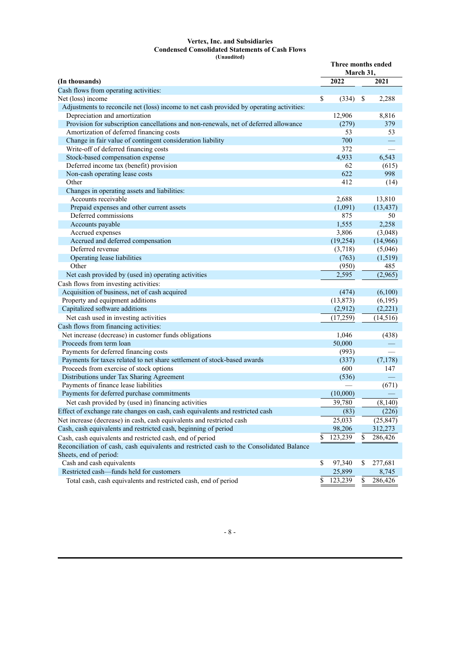#### **Vertex, Inc. and Subsidiaries Condensed Consolidated Statements of Cash Flows (Unaudited)**

|                                                                                          | Three months ended<br>March 31, |           |    |                          |
|------------------------------------------------------------------------------------------|---------------------------------|-----------|----|--------------------------|
| (In thousands)                                                                           |                                 | 2022      |    | 2021                     |
| Cash flows from operating activities:                                                    |                                 |           |    |                          |
| Net (loss) income                                                                        | \$                              | (334)     | \$ | 2,288                    |
| Adjustments to reconcile net (loss) income to net cash provided by operating activities: |                                 |           |    |                          |
| Depreciation and amortization                                                            |                                 | 12,906    |    | 8,816                    |
| Provision for subscription cancellations and non-renewals, net of deferred allowance     |                                 | (279)     |    | 379                      |
| Amortization of deferred financing costs                                                 |                                 | 53        |    | 53                       |
| Change in fair value of contingent consideration liability                               |                                 | 700       |    |                          |
| Write-off of deferred financing costs                                                    |                                 | 372       |    |                          |
| Stock-based compensation expense                                                         |                                 | 4,933     |    | 6,543                    |
| Deferred income tax (benefit) provision                                                  |                                 | 62        |    | (615)                    |
| Non-cash operating lease costs                                                           |                                 | 622       |    | 998                      |
| Other                                                                                    |                                 | 412       |    | (14)                     |
| Changes in operating assets and liabilities:                                             |                                 |           |    |                          |
| Accounts receivable                                                                      |                                 | 2,688     |    | 13,810                   |
| Prepaid expenses and other current assets                                                |                                 | (1,091)   |    | (13, 437)                |
| Deferred commissions                                                                     |                                 | 875       |    | 50                       |
| Accounts payable                                                                         |                                 | 1,555     |    | 2,258                    |
| Accrued expenses                                                                         |                                 | 3,806     |    | (3,048)                  |
| Accrued and deferred compensation                                                        |                                 | (19, 254) |    | (14,966)                 |
| Deferred revenue                                                                         |                                 | (3,718)   |    | (5,046)                  |
| Operating lease liabilities                                                              |                                 | (763)     |    | (1, 519)                 |
| Other                                                                                    |                                 | (950)     |    | 485                      |
| Net cash provided by (used in) operating activities                                      |                                 | 2,595     |    | (2,965)                  |
| Cash flows from investing activities:                                                    |                                 |           |    |                          |
| Acquisition of business, net of cash acquired                                            |                                 | (474)     |    | (6,100)                  |
| Property and equipment additions                                                         |                                 | (13, 873) |    | (6,195)                  |
| Capitalized software additions                                                           |                                 | (2,912)   |    | (2,221)                  |
| Net cash used in investing activities                                                    |                                 | (17,259)  |    | (14, 516)                |
| Cash flows from financing activities:                                                    |                                 |           |    |                          |
| Net increase (decrease) in customer funds obligations                                    |                                 | 1,046     |    | (438)                    |
| Proceeds from term loan                                                                  |                                 | 50,000    |    |                          |
| Payments for deferred financing costs                                                    |                                 | (993)     |    | $\overline{\phantom{0}}$ |
| Payments for taxes related to net share settlement of stock-based awards                 |                                 | (337)     |    | (7,178)                  |
| Proceeds from exercise of stock options                                                  |                                 | 600       |    | 147                      |
| Distributions under Tax Sharing Agreement                                                |                                 | (536)     |    |                          |
| Payments of finance lease liabilities                                                    |                                 |           |    | (671)                    |
| Payments for deferred purchase commitments                                               |                                 | (10,000)  |    |                          |
| Net cash provided by (used in) financing activities                                      |                                 | 39,780    |    | (8,140)                  |
| Effect of exchange rate changes on cash, cash equivalents and restricted cash            |                                 | (83)      |    | (226)                    |
| Net increase (decrease) in cash, cash equivalents and restricted cash                    |                                 | 25,033    |    | (25, 847)                |
| Cash, cash equivalents and restricted cash, beginning of period                          |                                 | 98,206    |    | 312,273                  |
| Cash, cash equivalents and restricted cash, end of period                                | \$                              | 123,239   | \$ | 286,426                  |
| Reconciliation of cash, cash equivalents and restricted cash to the Consolidated Balance |                                 |           |    |                          |
| Sheets, end of period:                                                                   |                                 |           |    |                          |
| Cash and cash equivalents                                                                | \$                              | 97,340    | \$ | 277,681                  |
| Restricted cash-funds held for customers                                                 |                                 | 25,899    |    | 8,745                    |
| Total cash, cash equivalents and restricted cash, end of period                          | \$                              | 123,239   | \$ | 286,426                  |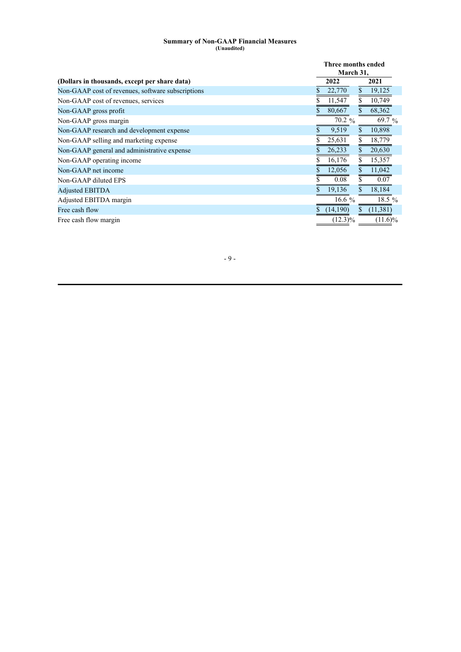#### **Summary of Non-GAAP Financial Measures (Unaudited)**

|                                                   |             | Three months ended<br>March 31,  |
|---------------------------------------------------|-------------|----------------------------------|
| (Dollars in thousands, except per share data)     | 2022        | 2021                             |
| Non-GAAP cost of revenues, software subscriptions |             | 22,770<br>$\mathbb{S}$<br>19,125 |
| Non-GAAP cost of revenues, services               |             | \$<br>10,749<br>11,547           |
| Non-GAAP gross profit                             | 80,667<br>S | $\mathbf{s}$<br>68,362           |
| Non-GAAP gross margin                             |             | 70.2 %<br>69.7 $%$               |
| Non-GAAP research and development expense         |             | 10,898<br>9,519<br>S.            |
| Non-GAAP selling and marketing expense            | 25,631      | \$<br>18,779                     |
| Non-GAAP general and administrative expense       | 26,233      | $\mathbb{S}$<br>20,630           |
| Non-GAAP operating income                         |             | \$<br>15,357<br>16,176           |
| Non-GAAP net income                               |             | $\mathbb{S}$<br>11,042<br>12,056 |
| Non-GAAP diluted EPS                              |             | \$<br>0.08<br>0.07               |
| <b>Adjusted EBITDA</b>                            |             | $\mathbf{S}$<br>18,184<br>19,136 |
| Adjusted EBITDA margin                            |             | 18.5 $%$<br>16.6 $%$             |
| Free cash flow                                    |             | (14,190)<br>(11, 381)<br>\$      |
| Free cash flow margin                             |             | $(12.3)\%$<br>$(11.6)\%$         |

- 9 -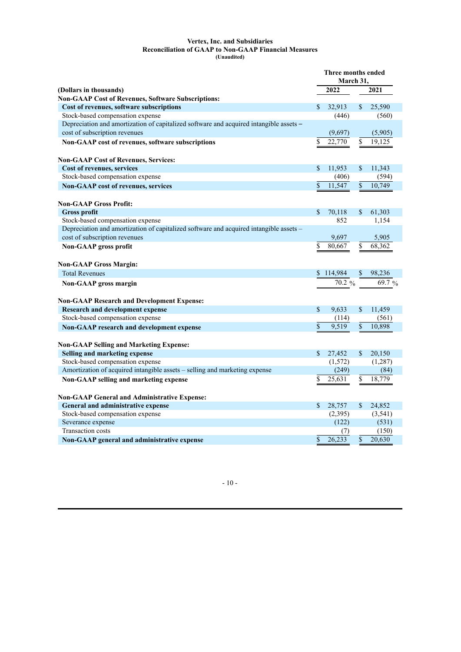#### **Vertex, Inc. and Subsidiaries Reconciliation of GAAP to Non-GAAP Financial Measures (Unaudited)**

|                                                                                        | Three months ended<br>March 31, |          |                 |          |
|----------------------------------------------------------------------------------------|---------------------------------|----------|-----------------|----------|
| (Dollars in thousands)                                                                 | 2022                            |          | 2021            |          |
| <b>Non-GAAP Cost of Revenues, Software Subscriptions:</b>                              |                                 |          |                 |          |
| Cost of revenues, software subscriptions                                               | \$                              | 32,913   | \$              | 25,590   |
| Stock-based compensation expense                                                       |                                 | (446)    |                 | (560)    |
| Depreciation and amortization of capitalized software and acquired intangible assets - |                                 |          |                 |          |
| cost of subscription revenues                                                          |                                 | (9,697)  |                 | (5,905)  |
| Non-GAAP cost of revenues, software subscriptions                                      | \$                              | 22,770   | \$              | 19,125   |
| <b>Non-GAAP Cost of Revenues, Services:</b>                                            |                                 |          |                 |          |
| Cost of revenues, services                                                             | \$                              | 11,953   | \$              | 11,343   |
| Stock-based compensation expense                                                       |                                 | (406)    |                 | (594)    |
| <b>Non-GAAP</b> cost of revenues, services                                             | \$                              | 11,547   | $\overline{\$}$ | 10,749   |
| <b>Non-GAAP Gross Profit:</b>                                                          |                                 |          |                 |          |
| <b>Gross profit</b>                                                                    | $\mathbf{s}$                    | 70,118   | \$              | 61,303   |
| Stock-based compensation expense                                                       |                                 | 852      |                 | 1,154    |
| Depreciation and amortization of capitalized software and acquired intangible assets - |                                 |          |                 |          |
| cost of subscription revenues                                                          |                                 | 9,697    |                 | 5,905    |
| Non-GAAP gross profit                                                                  | \$                              | 80,667   | \$              | 68,362   |
| <b>Non-GAAP Gross Margin:</b>                                                          |                                 |          |                 |          |
| <b>Total Revenues</b>                                                                  | \$                              | 114,984  | \$              | 98,236   |
| Non-GAAP gross margin                                                                  |                                 | $70.2\%$ |                 | 69.7 $%$ |
| <b>Non-GAAP Research and Development Expense:</b>                                      |                                 |          |                 |          |
| <b>Research and development expense</b>                                                | \$                              | 9,633    | \$              | 11,459   |
| Stock-based compensation expense                                                       |                                 | (114)    |                 | (561)    |
| Non-GAAP research and development expense                                              | \$                              | 9,519    | \$              | 10,898   |
| <b>Non-GAAP Selling and Marketing Expense:</b>                                         |                                 |          |                 |          |
| Selling and marketing expense                                                          | \$                              | 27,452   | \$              | 20,150   |
| Stock-based compensation expense                                                       |                                 | (1, 572) |                 | (1,287)  |
| Amortization of acquired intangible assets - selling and marketing expense             |                                 | (249)    |                 | (84)     |
| Non-GAAP selling and marketing expense                                                 | \$                              | 25,631   | \$              | 18,779   |
| <b>Non-GAAP General and Administrative Expense:</b>                                    |                                 |          |                 |          |
| General and administrative expense                                                     | \$                              | 28,757   | \$              | 24,852   |
| Stock-based compensation expense                                                       |                                 | (2,395)  |                 | (3, 541) |
| Severance expense                                                                      |                                 | (122)    |                 | (531)    |
| Transaction costs                                                                      |                                 | (7)      |                 | (150)    |
| Non-GAAP general and administrative expense                                            | $\mathbb{S}$                    | 26,233   | \$              | 20,630   |

- 10 -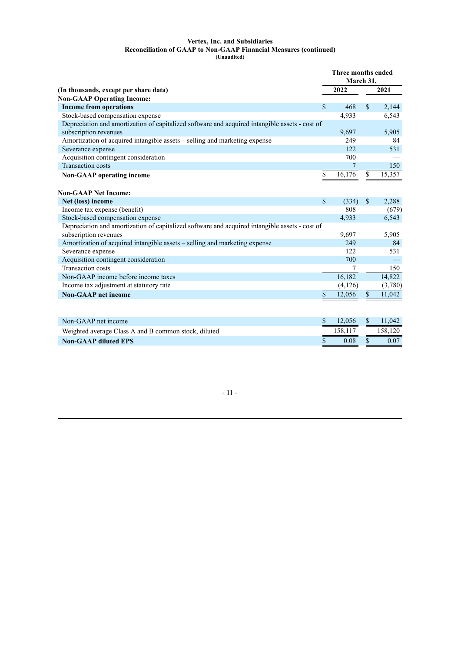#### **Vertex, Inc. and Subsidiaries Reconciliation of GAAP to Non-GAAP Financial Measures (continued) (Unaudited)**

|                                                                                                |              | Three months ended |                           |         |
|------------------------------------------------------------------------------------------------|--------------|--------------------|---------------------------|---------|
|                                                                                                |              | March 31,          |                           |         |
| (In thousands, except per share data)                                                          |              | 2022               |                           | 2021    |
| <b>Non-GAAP Operating Income:</b>                                                              |              |                    |                           |         |
| <b>Income from operations</b>                                                                  | \$           | 468                | $\mathbb{S}$              | 2,144   |
| Stock-based compensation expense                                                               |              | 4,933              |                           | 6,543   |
| Depreciation and amortization of capitalized software and acquired intangible assets - cost of |              |                    |                           |         |
| subscription revenues                                                                          |              | 9,697              |                           | 5,905   |
| Amortization of acquired intangible assets – selling and marketing expense                     |              | 249                |                           | 84      |
| Severance expense                                                                              |              | 122                |                           | 531     |
| Acquisition contingent consideration                                                           |              | 700                |                           |         |
| <b>Transaction costs</b>                                                                       |              | 7                  |                           | 150     |
| <b>Non-GAAP</b> operating income                                                               | \$           | 16,176             | \$                        | 15,357  |
|                                                                                                |              |                    |                           |         |
| <b>Non-GAAP Net Income:</b>                                                                    |              |                    |                           |         |
| Net (loss) income                                                                              | \$           | (334)              | $\mathbb{S}$              | 2,288   |
| Income tax expense (benefit)                                                                   |              | 808                |                           | (679)   |
| Stock-based compensation expense                                                               |              | 4,933              |                           | 6,543   |
| Depreciation and amortization of capitalized software and acquired intangible assets - cost of |              |                    |                           |         |
| subscription revenues                                                                          |              | 9,697              |                           | 5,905   |
| Amortization of acquired intangible assets – selling and marketing expense                     |              | 249                |                           | 84      |
| Severance expense                                                                              |              | 122                |                           | 531     |
| Acquisition contingent consideration                                                           |              | 700                |                           |         |
| <b>Transaction costs</b>                                                                       |              | 7                  |                           | 150     |
| Non-GAAP income before income taxes                                                            |              | 16,182             |                           | 14,822  |
| Income tax adjustment at statutory rate                                                        |              | (4,126)            |                           | (3,780) |
| <b>Non-GAAP</b> net income                                                                     | \$           | 12,056             | $\boldsymbol{\mathsf{S}}$ | 11,042  |
|                                                                                                |              |                    |                           |         |
|                                                                                                |              |                    |                           |         |
| Non-GAAP net income                                                                            | \$           | 12,056             | $\mathcal{S}$             | 11,042  |
| Weighted average Class A and B common stock, diluted                                           |              | 158,117            |                           | 158,120 |
| <b>Non-GAAP diluted EPS</b>                                                                    | $\mathbf{s}$ | 0.08               | \$                        | 0.07    |

- 11 -